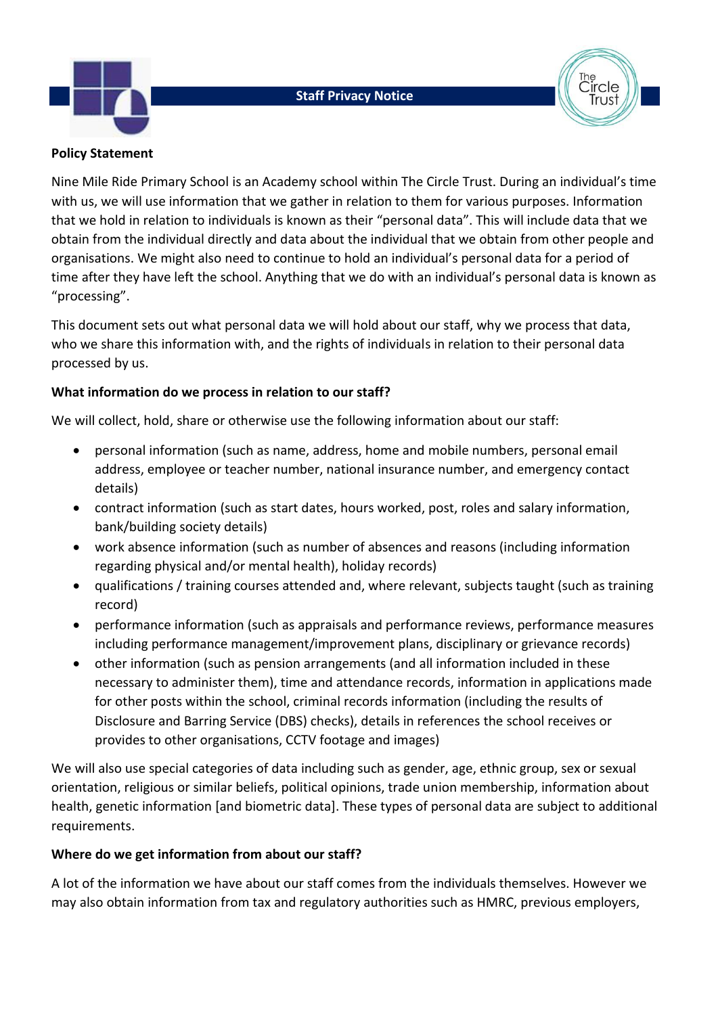



#### **Policy Statement**

Nine Mile Ride Primary School is an Academy school within The Circle Trust. During an individual's time with us, we will use information that we gather in relation to them for various purposes. Information that we hold in relation to individuals is known as their "personal data". This will include data that we obtain from the individual directly and data about the individual that we obtain from other people and organisations. We might also need to continue to hold an individual's personal data for a period of time after they have left the school. Anything that we do with an individual's personal data is known as "processing".

This document sets out what personal data we will hold about our staff, why we process that data, who we share this information with, and the rights of individuals in relation to their personal data processed by us.

### **What information do we process in relation to our staff?**

We will collect, hold, share or otherwise use the following information about our staff:

- personal information (such as name, address, home and mobile numbers, personal email address, employee or teacher number, national insurance number, and emergency contact details)
- contract information (such as start dates, hours worked, post, roles and salary information, bank/building society details)
- work absence information (such as number of absences and reasons (including information regarding physical and/or mental health), holiday records)
- qualifications / training courses attended and, where relevant, subjects taught (such as training record)
- performance information (such as appraisals and performance reviews, performance measures including performance management/improvement plans, disciplinary or grievance records)
- other information (such as pension arrangements (and all information included in these necessary to administer them), time and attendance records, information in applications made for other posts within the school, criminal records information (including the results of Disclosure and Barring Service (DBS) checks), details in references the school receives or provides to other organisations, CCTV footage and images)

We will also use special categories of data including such as gender, age, ethnic group, sex or sexual orientation, religious or similar beliefs, political opinions, trade union membership, information about health, genetic information [and biometric data]. These types of personal data are subject to additional requirements.

# **Where do we get information from about our staff?**

A lot of the information we have about our staff comes from the individuals themselves. However we may also obtain information from tax and regulatory authorities such as HMRC, previous employers,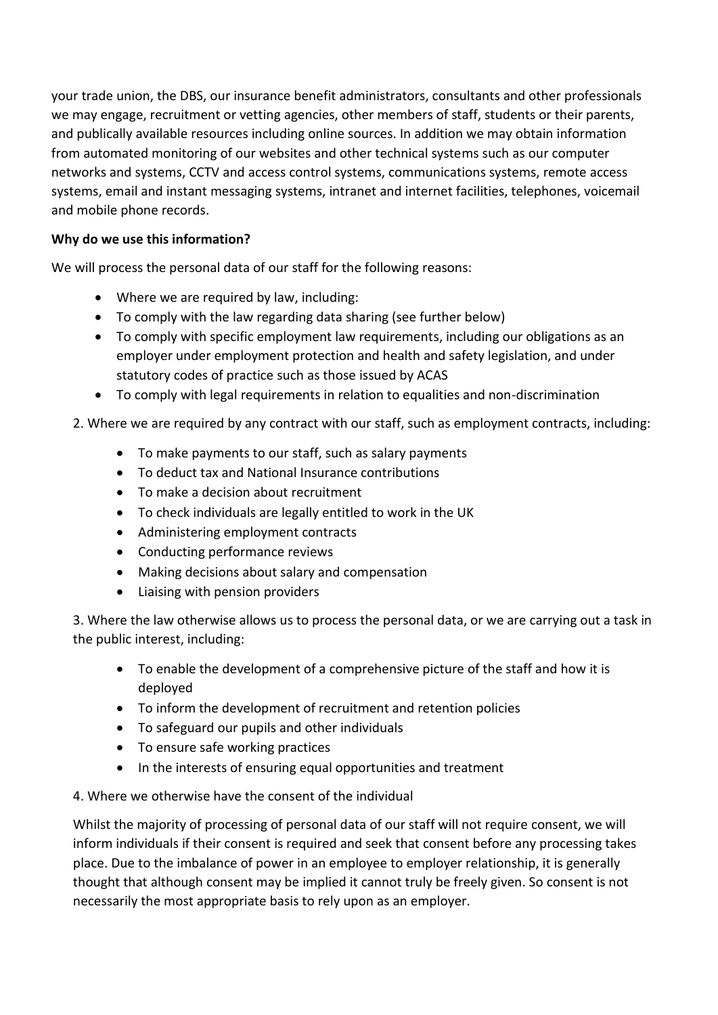your trade union, the DBS, our insurance benefit administrators, consultants and other professionals we may engage, recruitment or vetting agencies, other members of staff, students or their parents, and publically available resources including online sources. In addition we may obtain information from automated monitoring of our websites and other technical systems such as our computer networks and systems, CCTV and access control systems, communications systems, remote access systems, email and instant messaging systems, intranet and internet facilities, telephones, voicemail and mobile phone records.

### **Why do we use this information?**

We will process the personal data of our staff for the following reasons:

- Where we are required by law, including:
- To comply with the law regarding data sharing (see further below)
- To comply with specific employment law requirements, including our obligations as an employer under employment protection and health and safety legislation, and under statutory codes of practice such as those issued by ACAS
- To comply with legal requirements in relation to equalities and non-discrimination

2. Where we are required by any contract with our staff, such as employment contracts, including:

- To make payments to our staff, such as salary payments
- To deduct tax and National Insurance contributions
- To make a decision about recruitment
- To check individuals are legally entitled to work in the UK
- Administering employment contracts
- Conducting performance reviews
- Making decisions about salary and compensation
- Liaising with pension providers

3. Where the law otherwise allows us to process the personal data, or we are carrying out a task in the public interest, including:

- To enable the development of a comprehensive picture of the staff and how it is deployed
- To inform the development of recruitment and retention policies
- To safeguard our pupils and other individuals
- To ensure safe working practices
- In the interests of ensuring equal opportunities and treatment

#### 4. Where we otherwise have the consent of the individual

Whilst the majority of processing of personal data of our staff will not require consent, we will inform individuals if their consent is required and seek that consent before any processing takes place. Due to the imbalance of power in an employee to employer relationship, it is generally thought that although consent may be implied it cannot truly be freely given. So consent is not necessarily the most appropriate basis to rely upon as an employer.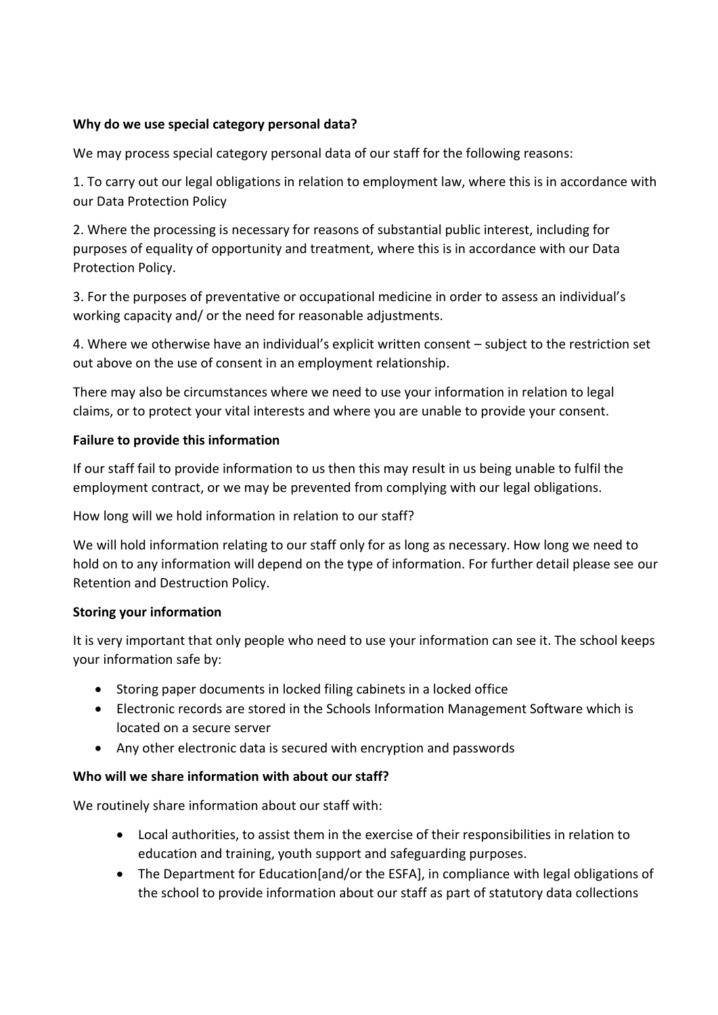### **Why do we use special category personal data?**

We may process special category personal data of our staff for the following reasons:

1. To carry out our legal obligations in relation to employment law, where this is in accordance with our Data Protection Policy

2. Where the processing is necessary for reasons of substantial public interest, including for purposes of equality of opportunity and treatment, where this is in accordance with our Data Protection Policy.

3. For the purposes of preventative or occupational medicine in order to assess an individual's working capacity and/ or the need for reasonable adjustments.

4. Where we otherwise have an individual's explicit written consent – subject to the restriction set out above on the use of consent in an employment relationship.

There may also be circumstances where we need to use your information in relation to legal claims, or to protect your vital interests and where you are unable to provide your consent.

#### **Failure to provide this information**

If our staff fail to provide information to us then this may result in us being unable to fulfil the employment contract, or we may be prevented from complying with our legal obligations.

How long will we hold information in relation to our staff?

We will hold information relating to our staff only for as long as necessary. How long we need to hold on to any information will depend on the type of information. For further detail please see our Retention and Destruction Policy.

#### **Storing your information**

It is very important that only people who need to use your information can see it. The school keeps your information safe by:

- Storing paper documents in locked filing cabinets in a locked office
- Electronic records are stored in the Schools Information Management Software which is located on a secure server
- Any other electronic data is secured with encryption and passwords

# **Who will we share information with about our staff?**

We routinely share information about our staff with:

- Local authorities, to assist them in the exercise of their responsibilities in relation to education and training, youth support and safeguarding purposes.
- The Department for Education[and/or the ESFA], in compliance with legal obligations of the school to provide information about our staff as part of statutory data collections